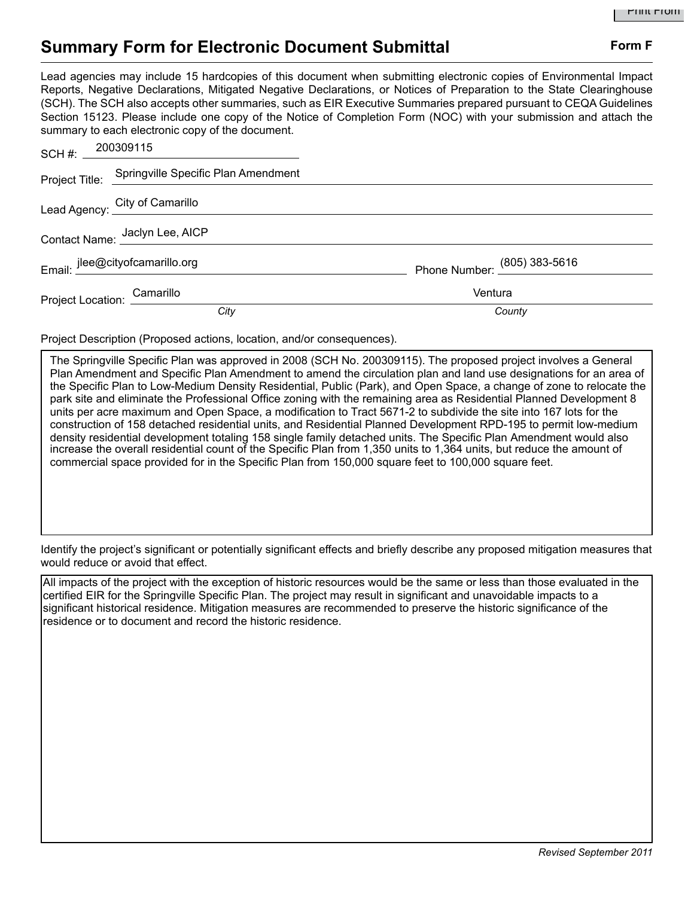## **Summary Form for Electronic Document Submittal Form F Form F**

Lead agencies may include 15 hardcopies of this document when submitting electronic copies of Environmental Impact Reports, Negative Declarations, Mitigated Negative Declarations, or Notices of Preparation to the State Clearinghouse (SCH). The SCH also accepts other summaries, such as EIR Executive Summaries prepared pursuant to CEQA Guidelines Section 15123. Please include one copy of the Notice of Completion Form (NOC) with your submission and attach the summary to each electronic copy of the document.

| SCH #: $=$ 200309115            |                                                    |                              |
|---------------------------------|----------------------------------------------------|------------------------------|
|                                 | Project Title: Springville Specific Plan Amendment |                              |
|                                 | Lead Agency: City of Camarillo                     |                              |
| Contact Name: Jaclyn Lee, AICP  |                                                    |                              |
| Email: jlee@cityofcamarillo.org |                                                    | Phone Number: (805) 383-5616 |
| Project Location: Camarillo     |                                                    | Ventura                      |
|                                 | City                                               | County                       |

Project Description (Proposed actions, location, and/or consequences).

The Springville Specific Plan was approved in 2008 (SCH No. 200309115). The proposed project involves a General Plan Amendment and Specific Plan Amendment to amend the circulation plan and land use designations for an area of the Specific Plan to Low-Medium Density Residential, Public (Park), and Open Space, a change of zone to relocate the park site and eliminate the Professional Office zoning with the remaining area as Residential Planned Development 8 units per acre maximum and Open Space, a modification to Tract 5671-2 to subdivide the site into 167 lots for the construction of 158 detached residential units, and Residential Planned Development RPD-195 to permit low-medium density residential development totaling 158 single family detached units. The Specific Plan Amendment would also increase the overall residential count of the Specific Plan from 1,350 units to 1,364 units, but reduce the amount of commercial space provided for in the Specific Plan from 150,000 square feet to 100,000 square feet.

Identify the project's significant or potentially significant effects and briefly describe any proposed mitigation measures that would reduce or avoid that effect.

All impacts of the project with the exception of historic resources would be the same or less than those evaluated in the certified EIR for the Springville Specific Plan. The project may result in significant and unavoidable impacts to a significant historical residence. Mitigation measures are recommended to preserve the historic significance of the residence or to document and record the historic residence.